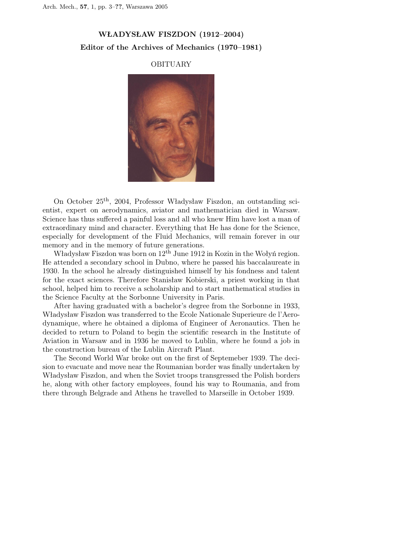## WŁADYSŁAW FISZDON (1912–2004) Editor of the Archives of Mechanics (1970–1981)

## OBITUARY



On October 25th, 2004, Professor Władysław Fiszdon, an outstanding scientist, expert on aerodynamics, aviator and mathematician died in Warsaw. Science has thus suffered a painful loss and all who knew Him have lost a man of extraordinary mind and character. Everything that He has done for the Science, especially for development of the Fluid Mechanics, will remain forever in our memory and in the memory of future generations.

Władysław Fiszdon was born on  $12<sup>th</sup>$  June 1912 in Kozin in the Wołyń region. He attended a secondary school in Dubno, where he passed his baccalaureate in 1930. In the school he already distinguished himself by his fondness and talent for the exact sciences. Therefore Stanisław Kobierski, a priest working in that school, helped him to receive a scholarship and to start mathematical studies in the Science Faculty at the Sorbonne University in Paris.

After having graduated with a bachelor's degree from the Sorbonne in 1933, Władysław Fiszdon was transferred to the Ecole Nationale Superieure de l'Aerodynamique, where he obtained a diploma of Engineer of Aeronautics. Then he decided to return to Poland to begin the scientific research in the Institute of Aviation in Warsaw and in 1936 he moved to Lublin, where he found a job in the construction bureau of the Lublin Aircraft Plant.

The Second World War broke out on the first of Septemeber 1939. The decision to evacuate and move near the Roumanian border was finally undertaken by Władysław Fiszdon, and when the Soviet troops transgressed the Polish borders he, along with other factory employees, found his way to Roumania, and from there through Belgrade and Athens he travelled to Marseille in October 1939.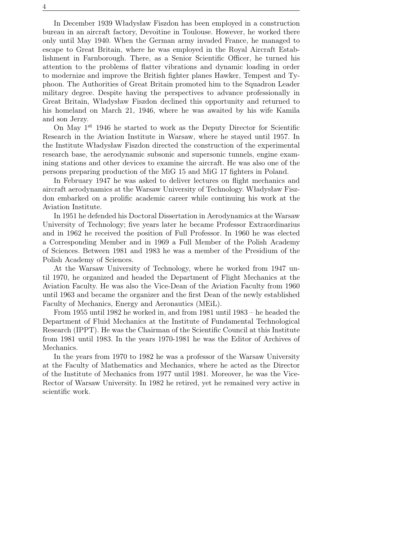In December 1939 Władysław Fiszdon has been employed in a construction bureau in an aircraft factory, Devoitine in Toulouse. However, he worked there only until May 1940. When the German army invaded France, he managed to escape to Great Britain, where he was employed in the Royal Aircraft Establishment in Farnborough. There, as a Senior Scientific Officer, he turned his attention to the problems of flatter vibrations and dynamic loading in order to modernize and improve the British fighter planes Hawker, Tempest and Typhoon. The Authorities of Great Britain promoted him to the Squadron Leader military degree. Despite having the perspectives to advance professionally in Great Britain, Władysław Fiszdon declined this opportunity and returned to his homeland on March 21, 1946, where he was awaited by his wife Kamila and son Jerzy.

On May 1<sup>st</sup> 1946 he started to work as the Deputy Director for Scientific Research in the Aviation Institute in Warsaw, where he stayed until 1957. In the Institute Władysław Fiszdon directed the construction of the experimental research base, the aerodynamic subsonic and supersonic tunnels, engine examining stations and other devices to examine the aircraft. He was also one of the persons preparing production of the MiG 15 and MiG 17 fighters in Poland.

In February 1947 he was asked to deliver lectures on flight mechanics and aircraft aerodynamics at the Warsaw University of Technology. Władysław Fiszdon embarked on a prolific academic career while continuing his work at the Aviation Institute.

In 1951 he defended his Doctoral Dissertation in Aerodynamics at the Warsaw University of Technology; five years later he became Professor Extraordinarius and in 1962 he received the position of Full Professor. In 1960 he was elected a Corresponding Member and in 1969 a Full Member of the Polish Academy of Sciences. Between 1981 and 1983 he was a member of the Presidium of the Polish Academy of Sciences.

At the Warsaw University of Technology, where he worked from 1947 until 1970, he organized and headed the Department of Flight Mechanics at the Aviation Faculty. He was also the Vice-Dean of the Aviation Faculty from 1960 until 1963 and became the organizer and the first Dean of the newly established Faculty of Mechanics, Energy and Aeronautics (MEiL).

From 1955 until 1982 he worked in, and from 1981 until 1983 – he headed the Department of Fluid Mechanics at the Institute of Fundamental Technological Research (IPPT). He was the Chairman of the Scientific Council at this Institute from 1981 until 1983. In the years 1970-1981 he was the Editor of Archives of Mechanics.

In the years from 1970 to 1982 he was a professor of the Warsaw University at the Faculty of Mathematics and Mechanics, where he acted as the Director of the Institute of Mechanics from 1977 until 1981. Moreover, he was the Vice-Rector of Warsaw University. In 1982 he retired, yet he remained very active in scientific work.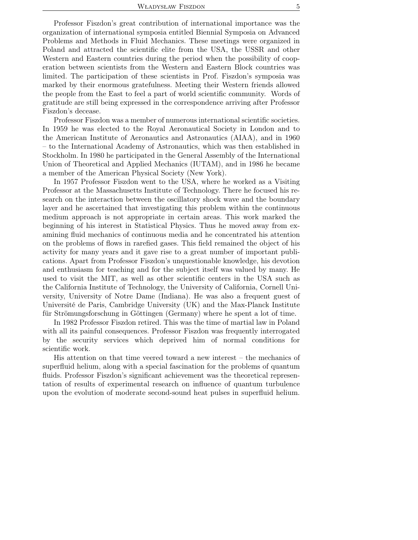Professor Fiszdon's great contribution of international importance was the organization of international symposia entitled Biennial Symposia on Advanced Problems and Methods in Fluid Mechanics. These meetings were organized in Poland and attracted the scientific elite from the USA, the USSR and other Western and Eastern countries during the period when the possibility of cooperation between scientists from the Western and Eastern Block countries was limited. The participation of these scientists in Prof. Fiszdon's symposia was marked by their enormous gratefulness. Meeting their Western friends allowed the people from the East to feel a part of world scientific community. Words of gratitude are still being expressed in the correspondence arriving after Professor Fiszdon's decease.

Professor Fiszdon was a member of numerous international scientific societies. In 1959 he was elected to the Royal Aeronautical Society in London and to the American Institute of Aeronautics and Astronautics (AIAA), and in 1960 – to the International Academy of Astronautics, which was then established in Stockholm. In 1980 he participated in the General Assembly of the International Union of Theoretical and Applied Mechanics (IUTAM), and in 1986 he became a member of the American Physical Society (New York).

In 1957 Professor Fiszdon went to the USA, where he worked as a Visiting Professor at the Massachusetts Institute of Technology. There he focused his research on the interaction between the oscillatory shock wave and the boundary layer and he ascertained that investigating this problem within the continuous medium approach is not appropriate in certain areas. This work marked the beginning of his interest in Statistical Physics. Thus he moved away from examining fluid mechanics of continuous media and he concentrated his attention on the problems of flows in rarefied gases. This field remained the object of his activity for many years and it gave rise to a great number of important publications. Apart from Professor Fiszdon's unquestionable knowledge, his devotion and enthusiasm for teaching and for the subject itself was valued by many. He used to visit the MIT, as well as other scientific centers in the USA such as the California Institute of Technology, the University of California, Cornell University, University of Notre Dame (Indiana). He was also a frequent guest of Université de Paris, Cambridge University (UK) and the Max-Planck Institute für Strömungsforschung in Göttingen (Germany) where he spent a lot of time.

In 1982 Professor Fiszdon retired. This was the time of martial law in Poland with all its painful consequences. Professor Fiszdon was frequently interrogated by the security services which deprived him of normal conditions for scientific work.

His attention on that time veered toward a new interest – the mechanics of superfluid helium, along with a special fascination for the problems of quantum fluids. Professor Fiszdon's significant achievement was the theoretical representation of results of experimental research on influence of quantum turbulence upon the evolution of moderate second-sound heat pulses in superfluid helium.